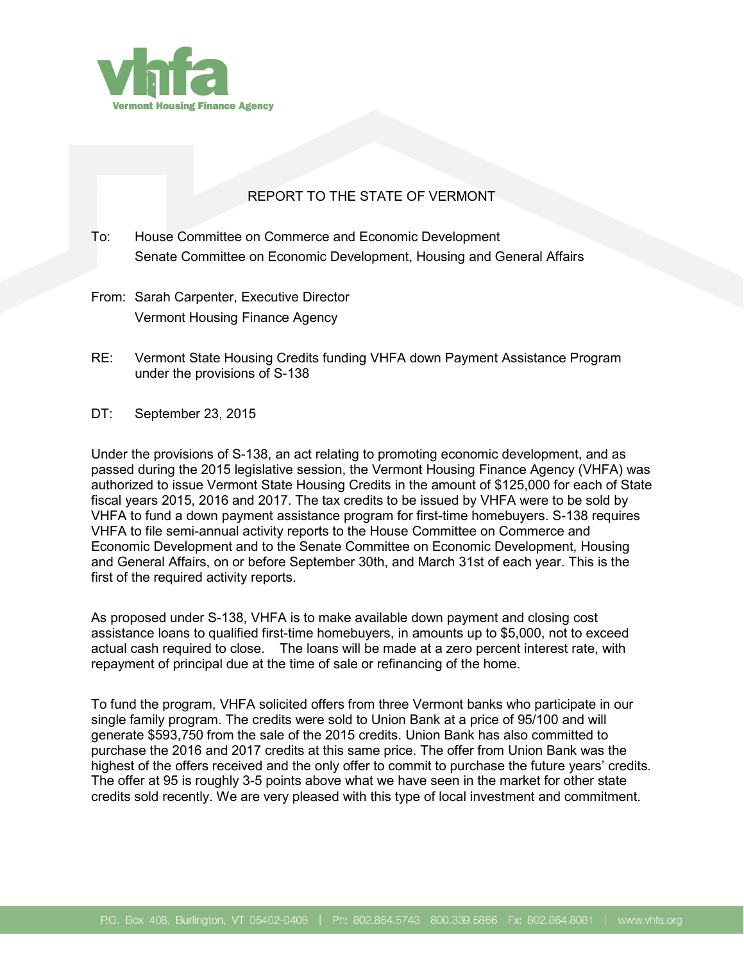

## REPORT TO THE STATE OF VERMONT

- To: House Committee on Commerce and Economic Development Senate Committee on Economic Development, Housing and General Affairs
- From: Sarah Carpenter, Executive Director Vermont Housing Finance Agency
- RE: Vermont State Housing Credits funding VHFA down Payment Assistance Program under the provisions of S-138
- DT: September 23, 2015

Under the provisions of S-138, an act relating to promoting economic development, and as passed during the 2015 legislative session, the Vermont Housing Finance Agency (VHFA) was authorized to issue Vermont State Housing Credits in the amount of \$125,000 for each of State fiscal years 2015, 2016 and 2017. The tax credits to be issued by VHFA were to be sold by VHFA to fund a down payment assistance program for first-time homebuyers. S-138 requires VHFA to file semi-annual activity reports to the House Committee on Commerce and Economic Development and to the Senate Committee on Economic Development, Housing and General Affairs, on or before September 30th, and March 31st of each year. This is the first of the required activity reports.

As proposed under S-138, VHFA is to make available down payment and closing cost assistance loans to qualified first-time homebuyers, in amounts up to \$5,000, not to exceed actual cash required to close. The loans will be made at a zero percent interest rate, with repayment of principal due at the time of sale or refinancing of the home.

To fund the program, VHFA solicited offers from three Vermont banks who participate in our single family program. The credits were sold to Union Bank at a price of 95/100 and will generate \$593,750 from the sale of the 2015 credits. Union Bank has also committed to purchase the 2016 and 2017 credits at this same price. The offer from Union Bank was the highest of the offers received and the only offer to commit to purchase the future years' credits. The offer at 95 is roughly 3-5 points above what we have seen in the market for other state credits sold recently. We are very pleased with this type of local investment and commitment.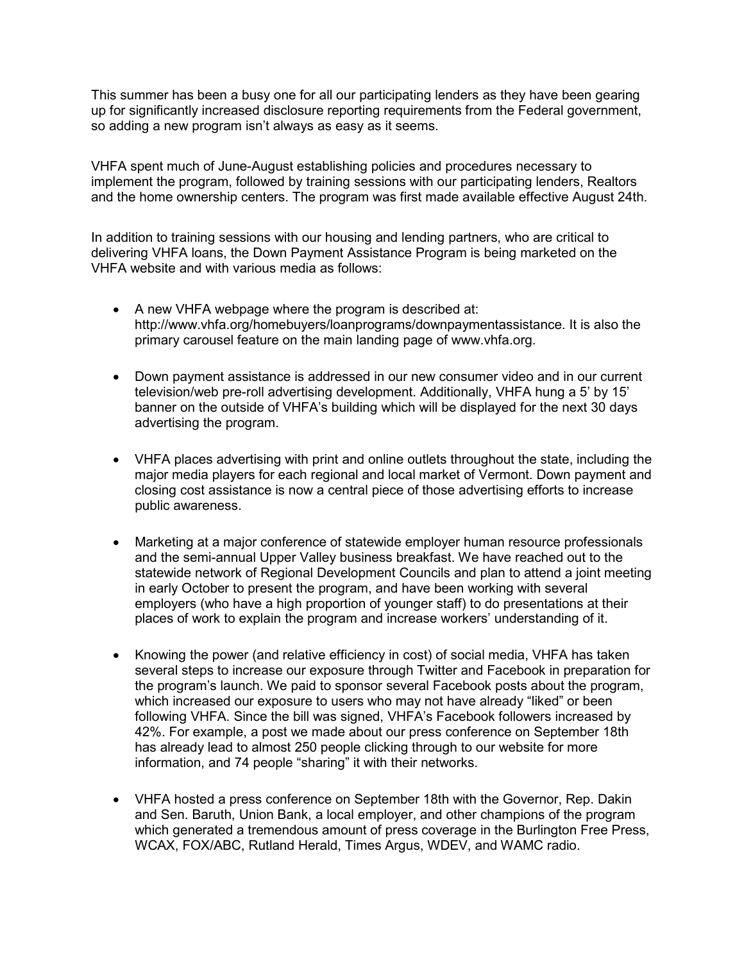This summer has been a busy one for all our participating lenders as they have been gearing up for significantly increased disclosure reporting requirements from the Federal government, so adding a new program isn't always as easy as it seems.

VHFA spent much of June-August establishing policies and procedures necessary to implement the program, followed by training sessions with our participating lenders, Realtors and the home ownership centers. The program was first made available effective August 24th.

In addition to training sessions with our housing and lending partners, who are critical to delivering VHFA loans, the Down Payment Assistance Program is being marketed on the VHFA website and with various media as follows:

- A new VHFA webpage where the program is described at: http://www.vhfa.org/homebuyers/loanprograms/downpaymentassistance. It is also the primary carousel feature on the main landing page of www.vhfa.org.
- Down payment assistance is addressed in our new consumer video and in our current television/web pre-roll advertising development. Additionally, VHFA hung a 5' by 15' banner on the outside of VHFA's building which will be displayed for the next 30 days advertising the program.
- VHFA places advertising with print and online outlets throughout the state, including the major media players for each regional and local market of Vermont. Down payment and closing cost assistance is now a central piece of those advertising efforts to increase public awareness.
- Marketing at a major conference of statewide employer human resource professionals and the semi-annual Upper Valley business breakfast. We have reached out to the statewide network of Regional Development Councils and plan to attend a joint meeting in early October to present the program, and have been working with several employers (who have a high proportion of younger staff) to do presentations at their places of work to explain the program and increase workers' understanding of it.
- Knowing the power (and relative efficiency in cost) of social media, VHFA has taken several steps to increase our exposure through Twitter and Facebook in preparation for the program's launch. We paid to sponsor several Facebook posts about the program, which increased our exposure to users who may not have already "liked" or been following VHFA. Since the bill was signed, VHFA's Facebook followers increased by 42%. For example, a post we made about our press conference on September 18th has already lead to almost 250 people clicking through to our website for more information, and 74 people "sharing" it with their networks.
- VHFA hosted a press conference on September 18th with the Governor, Rep. Dakin and Sen. Baruth, Union Bank, a local employer, and other champions of the program which generated a tremendous amount of press coverage in the Burlington Free Press, WCAX, FOX/ABC, Rutland Herald, Times Argus, WDEV, and WAMC radio.